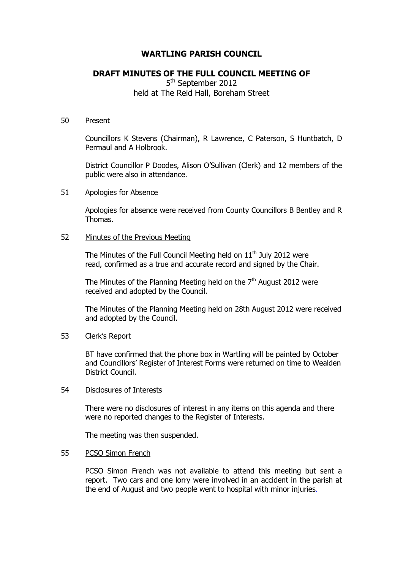# **WARTLING PARISH COUNCIL**

# **DRAFT MINUTES OF THE FULL COUNCIL MEETING OF**

5<sup>th</sup> September 2012 held at The Reid Hall, Boreham Street

#### 50 Present

Councillors K Stevens (Chairman), R Lawrence, C Paterson, S Huntbatch, D Permaul and A Holbrook.

District Councillor P Doodes, Alison O'Sullivan (Clerk) and 12 members of the public were also in attendance.

### 51 Apologies for Absence

Apologies for absence were received from County Councillors B Bentley and R Thomas.

## 52 Minutes of the Previous Meeting

The Minutes of the Full Council Meeting held on  $11<sup>th</sup>$  July 2012 were read, confirmed as a true and accurate record and signed by the Chair.

The Minutes of the Planning Meeting held on the  $7<sup>th</sup>$  August 2012 were received and adopted by the Council.

The Minutes of the Planning Meeting held on 28th August 2012 were received and adopted by the Council.

## 53 Clerk's Report

BT have confirmed that the phone box in Wartling will be painted by October and Councillors' Register of Interest Forms were returned on time to Wealden District Council.

### 54 Disclosures of Interests

There were no disclosures of interest in any items on this agenda and there were no reported changes to the Register of Interests.

The meeting was then suspended.

#### 55 PCSO Simon French

PCSO Simon French was not available to attend this meeting but sent a report. Two cars and one lorry were involved in an accident in the parish at the end of August and two people went to hospital with minor injuries.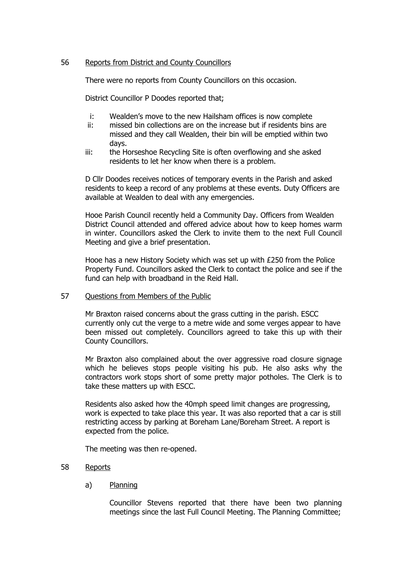## 56 Reports from District and County Councillors

There were no reports from County Councillors on this occasion.

District Councillor P Doodes reported that;

- i: Wealden's move to the new Hailsham offices is now complete
- ii: missed bin collections are on the increase but if residents bins are missed and they call Wealden, their bin will be emptied within two days.
- iii: the Horseshoe Recycling Site is often overflowing and she asked residents to let her know when there is a problem.

D Cllr Doodes receives notices of temporary events in the Parish and asked residents to keep a record of any problems at these events. Duty Officers are available at Wealden to deal with any emergencies.

Hooe Parish Council recently held a Community Day. Officers from Wealden District Council attended and offered advice about how to keep homes warm in winter. Councillors asked the Clerk to invite them to the next Full Council Meeting and give a brief presentation.

Hooe has a new History Society which was set up with £250 from the Police Property Fund. Councillors asked the Clerk to contact the police and see if the fund can help with broadband in the Reid Hall.

57 Questions from Members of the Public

Mr Braxton raised concerns about the grass cutting in the parish. ESCC currently only cut the verge to a metre wide and some verges appear to have been missed out completely. Councillors agreed to take this up with their County Councillors.

Mr Braxton also complained about the over aggressive road closure signage which he believes stops people visiting his pub. He also asks why the contractors work stops short of some pretty major potholes. The Clerk is to take these matters up with ESCC.

Residents also asked how the 40mph speed limit changes are progressing, work is expected to take place this year. It was also reported that a car is still restricting access by parking at Boreham Lane/Boreham Street. A report is expected from the police.

The meeting was then re-opened.

## 58 Reports

a) Planning

Councillor Stevens reported that there have been two planning meetings since the last Full Council Meeting. The Planning Committee;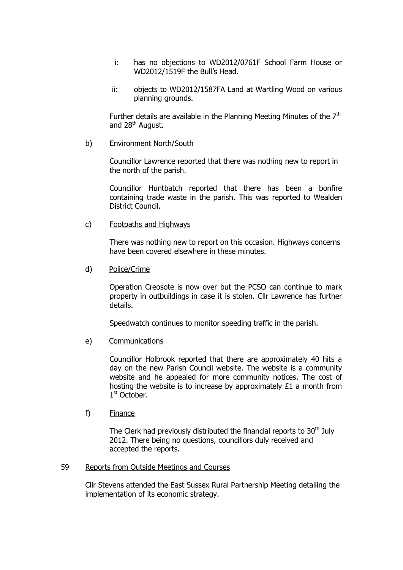- i: has no objections to WD2012/0761F School Farm House or WD2012/1519F the Bull's Head.
- ii: objects to WD2012/1587FA Land at Wartling Wood on various planning grounds.

Further details are available in the Planning Meeting Minutes of the  $7<sup>th</sup>$ and 28<sup>th</sup> August.

b) Environment North/South

Councillor Lawrence reported that there was nothing new to report in the north of the parish.

Councillor Huntbatch reported that there has been a bonfire containing trade waste in the parish. This was reported to Wealden District Council.

c) Footpaths and Highways

There was nothing new to report on this occasion. Highways concerns have been covered elsewhere in these minutes.

d) Police/Crime

Operation Creosote is now over but the PCSO can continue to mark property in outbuildings in case it is stolen. Cllr Lawrence has further details.

Speedwatch continues to monitor speeding traffic in the parish.

e) Communications

Councillor Holbrook reported that there are approximately 40 hits a day on the new Parish Council website. The website is a community website and he appealed for more community notices. The cost of hosting the website is to increase by approximately £1 a month from 1st October.

f) Finance

The Clerk had previously distributed the financial reports to  $30<sup>th</sup>$  July 2012. There being no questions, councillors duly received and accepted the reports.

## 59 Reports from Outside Meetings and Courses

Cllr Stevens attended the East Sussex Rural Partnership Meeting detailing the implementation of its economic strategy.